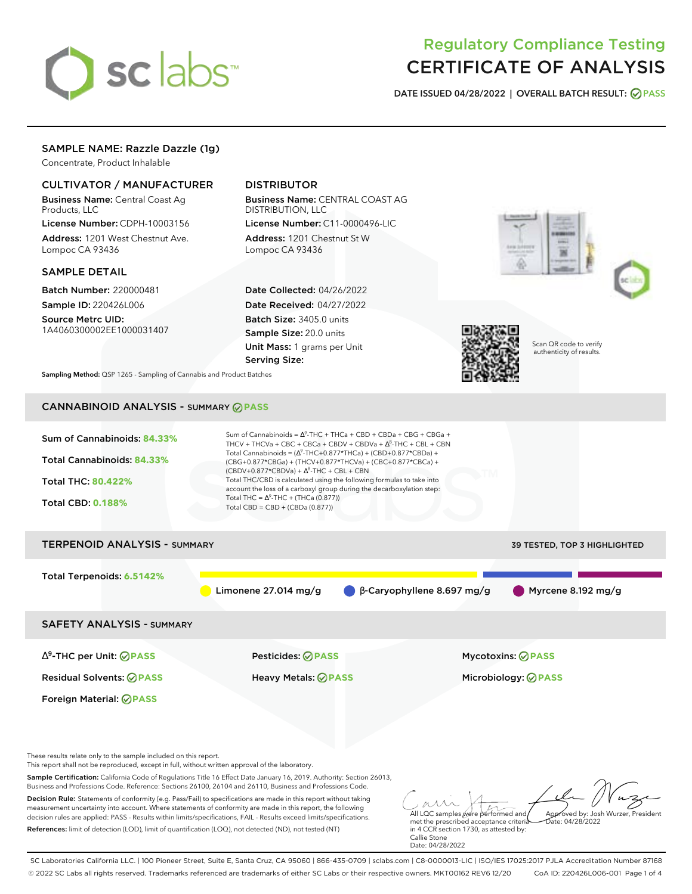# sclabs<sup>\*</sup>

# Regulatory Compliance Testing CERTIFICATE OF ANALYSIS

**DATE ISSUED 04/28/2022 | OVERALL BATCH RESULT: PASS**

# SAMPLE NAME: Razzle Dazzle (1g)

Concentrate, Product Inhalable

# CULTIVATOR / MANUFACTURER

Business Name: Central Coast Ag Products, LLC

License Number: CDPH-10003156 Address: 1201 West Chestnut Ave. Lompoc CA 93436

# SAMPLE DETAIL

Batch Number: 220000481 Sample ID: 220426L006

Source Metrc UID: 1A4060300002EE1000031407

# DISTRIBUTOR

Business Name: CENTRAL COAST AG DISTRIBUTION, LLC License Number: C11-0000496-LIC

Address: 1201 Chestnut St W Lompoc CA 93436

Date Collected: 04/26/2022 Date Received: 04/27/2022 Batch Size: 3405.0 units Sample Size: 20.0 units Unit Mass: 1 grams per Unit Serving Size:







Scan QR code to verify authenticity of results.

**Sampling Method:** QSP 1265 - Sampling of Cannabis and Product Batches

# CANNABINOID ANALYSIS - SUMMARY **PASS**



This report shall not be reproduced, except in full, without written approval of the laboratory.

Sample Certification: California Code of Regulations Title 16 Effect Date January 16, 2019. Authority: Section 26013, Business and Professions Code. Reference: Sections 26100, 26104 and 26110, Business and Professions Code.

Decision Rule: Statements of conformity (e.g. Pass/Fail) to specifications are made in this report without taking measurement uncertainty into account. Where statements of conformity are made in this report, the following decision rules are applied: PASS - Results within limits/specifications, FAIL - Results exceed limits/specifications. References: limit of detection (LOD), limit of quantification (LOQ), not detected (ND), not tested (NT)

All LQC samples were performed and met the prescribed acceptance criteria Approved by: Josh Wurzer, President  $ate: 04/28/2022$ 

in 4 CCR section 1730, as attested by: Callie Stone Date: 04/28/2022

SC Laboratories California LLC. | 100 Pioneer Street, Suite E, Santa Cruz, CA 95060 | 866-435-0709 | sclabs.com | C8-0000013-LIC | ISO/IES 17025:2017 PJLA Accreditation Number 87168 © 2022 SC Labs all rights reserved. Trademarks referenced are trademarks of either SC Labs or their respective owners. MKT00162 REV6 12/20 CoA ID: 220426L006-001 Page 1 of 4